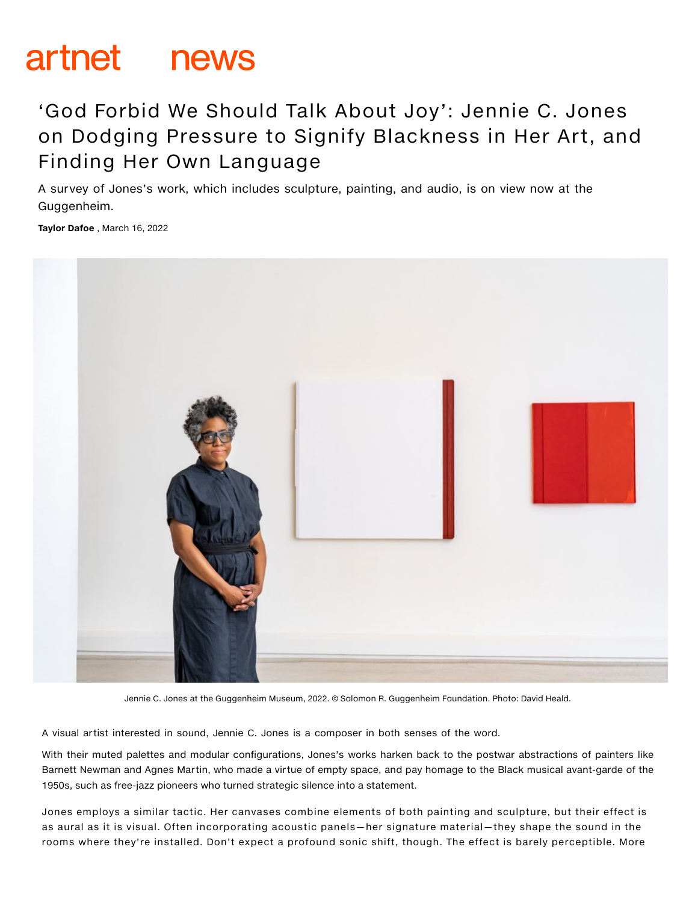# artnet news

# 'God Forbid We Should Talk About Joy': Jennie C. Jones on Dodging Pressure to Signify Blackness in Her Art, and Finding Her Own Language

A survey of Jones's work, which includes sculpture, painting, and audio, is on view now at the Guggenheim.

Taylor Dafoe , March 16, 2022



Jennie C. Jones at the Guggenheim Museum, 2022. © Solomon R. Guggenheim Foundation. Photo: David Heald.

A visual artist interested in sound, Jennie C. Jones is a composer in both senses of the word.

With their muted palettes and modular configurations, Jones's works harken back to the postwar abstractions of painters like Barnett Newman and Agnes Martin, who made a virtue of empty space, and pay homage to the Black musical avant-garde of the 1950s, such as free-jazz pioneers who turned strategic silence into a statement.

Jones employs a similar tactic. Her canvases combine elements of both painting and sculpture, but their effect is as aural as it is visual. Often incorporating acoustic panels—her signature material—they shape the sound in the rooms where they're installed. Don't expect a profound sonic shift, though. The effect is barely perceptible. More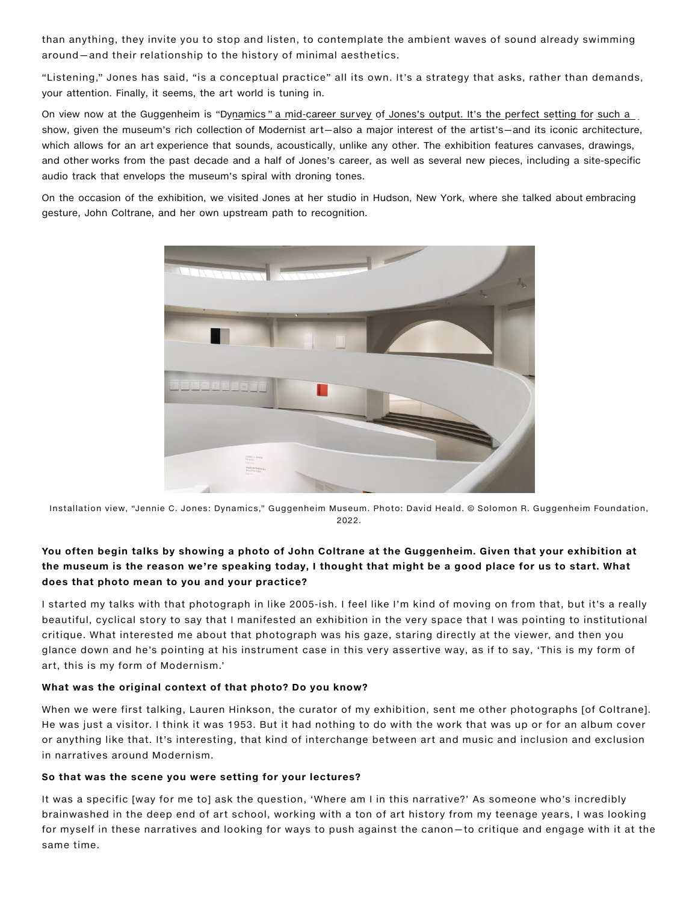than anything, they invite you to stop and listen, to contemplate the ambient waves of sound already swimming around—and their relationship to the history of minimal aesthetics.

"Listening," Jones has said, "is a conceptual practice" all its own. It's a strategy that asks, rather than demands, your attention. Finally, it seems, the art world is tuning in.

On view now at the Guggenheim is ["Dynamics](https://www.guggenheim.org/exhibition/jennie-c-jones-dynamics) " a mid-career survey of Jones's output. It's the perfect setting for such a show, given the museum's rich collection of Modernist art—also a major interest of the artist's—and its iconic architecture, which allows for an art experience that sounds, acoustically, unlike any other. The exhibition features canvases, drawings, and other works from the past decade and a half of Jones's career, as well as several new pieces, including a site-specific audio track that envelops the museum's spiral with droning tones.

On the occasion of the exhibition, we visited Jones at her studio in Hudson, New York, where she talked about embracing gesture, John Coltrane, and her own upstream path to recognition.



Installation view, "Jennie C. Jones: Dynamics," Guggenheim Museum. Photo: David Heald. © Solomon R. Guggenheim Foundation, 2022.

## You often begin talks by showing a photo of John Coltrane at the Guggenheim. Given that your exhibition at the museum is the reason we're speaking today, I thought that might be a good place for us to start. What does that photo mean to you and your practice?

I started my talks with that photograph in like 2005-ish. I feel like I'm kind of moving on from that, but it's a really beautiful, cyclical story to say that I manifested an exhibition in the very space that I was pointing to institutional critique. What interested me about that photograph was his gaze, staring directly at the viewer, and then you glance down and he's pointing at his instrument case in this very assertive way, as if to say, 'This is my form of art, this is my form of Modernism.'

#### What was the original context of that photo? Do you know?

When we were first talking, Lauren Hinkson, the curator of my exhibition, sent me other photographs [of Coltrane]. He was just a visitor. I think it was 1953. But it had nothing to do with the work that was up or for an album cover or anything like that. It's interesting, that kind of interchange between art and music and inclusion and exclusion in narratives around Modernism.

#### So that was the scene you were setting for your lectures?

It was a specific [way for me to] ask the question, 'Where am I in this narrative?' As someone who's incredibly brainwashed in the deep end of art school, working with a ton of art history from my teenage years, I was looking for myself in these narratives and looking for ways to push against the canon—to critique and engage with it at the same time.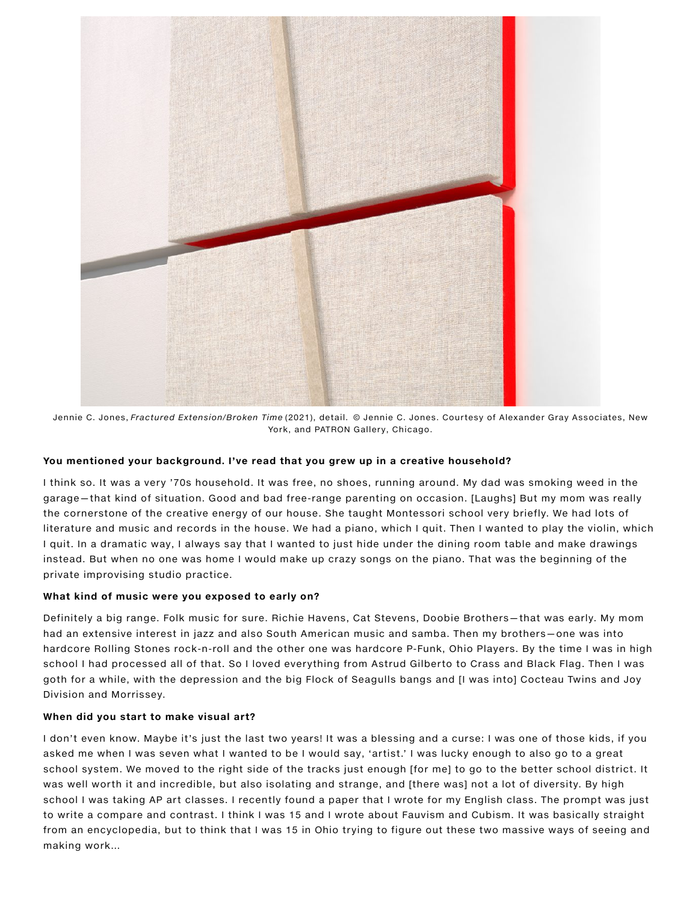

Jennie C. Jones, Fractured Extension/Broken Time (2021), detail. © Jennie C. Jones. Courtesy of Alexander Gray Associates, New York, and PATRON Gallery, Chicago.

#### You mentioned your background. I've read that you grew up in a creative household?

I think so. It was a very '70s household. It was free, no shoes, running around. My dad was smoking weed in the garage—that kind of situation. Good and bad free-range parenting on occasion. [Laughs] But my mom was really the cornerstone of the creative energy of our house. She taught Montessori school very briefly. We had lots of literature and music and records in the house. We had a piano, which I quit. Then I wanted to play the violin, which I quit. In a dramatic way, I always say that I wanted to just hide under the dining room table and make drawings instead. But when no one was home I would make up crazy songs on the piano. That was the beginning of the private improvising studio practice.

#### What kind of music were you exposed to early on?

Definitely a big range. Folk music for sure. Richie Havens, Cat Stevens, Doobie Brothers—that was early. My mom had an extensive interest in jazz and also South American music and samba. Then my brothers—one was into hardcore Rolling Stones rock-n-roll and the other one was hardcore P-Funk, Ohio Players. By the time I was in high school I had processed all of that. So I loved everything from Astrud Gilberto to Crass and Black Flag. Then I was goth for a while, with the depression and the big Flock of Seagulls bangs and [I was into] Cocteau Twins and Joy Division and Morrissey.

#### When did you start to make visual art?

I don't even know. Maybe it's just the last two years! It was a blessing and a curse: I was one of those kids, if you asked me when I was seven what I wanted to be I would say, 'artist.' I was lucky enough to also go to a great school system. We moved to the right side of the tracks just enough [for me] to go to the better school district. It was well worth it and incredible, but also isolating and strange, and [there was] not a lot of diversity. By high school I was taking AP art classes. I recently found a paper that I wrote for my English class. The prompt was just to write a compare and contrast. I think I was 15 and I wrote about Fauvism and Cubism. It was basically straight from an encyclopedia, but to think that I was 15 in Ohio trying to figure out these two massive ways of seeing and making work…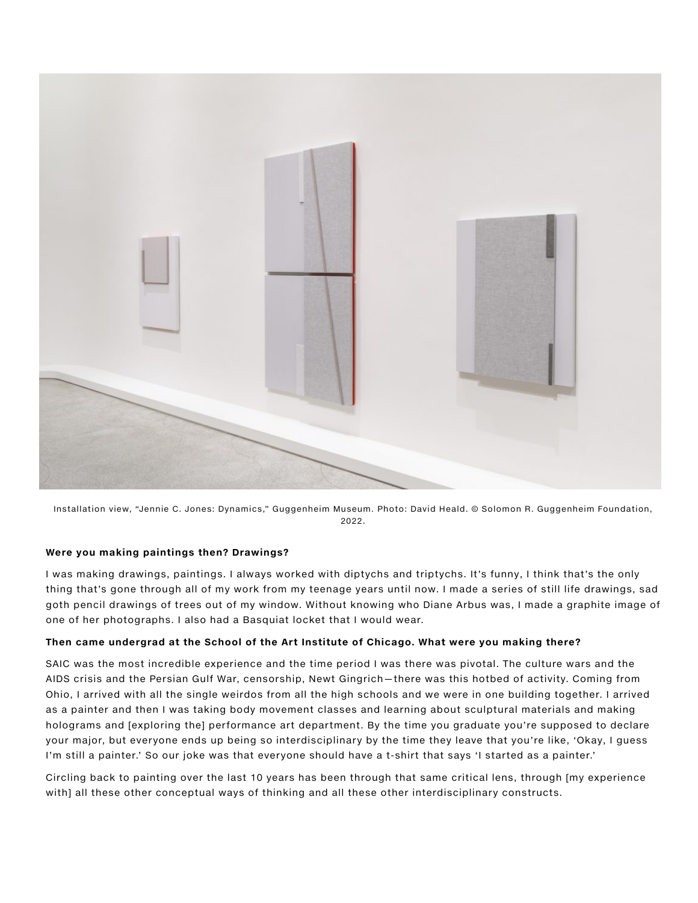

Installation view, "Jennie C. Jones: Dynamics," Guggenheim Museum. Photo: David Heald. © Solomon R. Guggenheim Foundation, 2022.

#### Were you making paintings then? Drawings?

I was making drawings, paintings. I always worked with diptychs and triptychs. It's funny, I think that's the only thing that's gone through all of my work from my teenage years until now. I made a series of still life drawings, sad goth pencil drawings of trees out of my window. Without knowing who Diane Arbus was, I made a graphite image of one of her photographs. I also had a Basquiat locket that I would wear.

#### Then came undergrad at the School of the Art Institute of Chicago. What were you making there?

SAIC was the most incredible experience and the time period I was there was pivotal. The culture wars and the AIDS crisis and the Persian Gulf War, censorship, Newt Gingrich—there was this hotbed of activity. Coming from Ohio, I arrived with all the single weirdos from all the high schools and we were in one building together. I arrived as a painter and then I was taking body movement classes and learning about sculptural materials and making holograms and [exploring the] performance art department. By the time you graduate you're supposed to declare your major, but everyone ends up being so interdisciplinary by the time they leave that you're like, 'Okay, I guess I'm still a painter.' So our joke was that everyone should have a t-shirt that says 'I started as a painter.'

Circling back to painting over the last 10 years has been through that same critical lens, through [my experience with] all these other conceptual ways of thinking and all these other interdisciplinary constructs.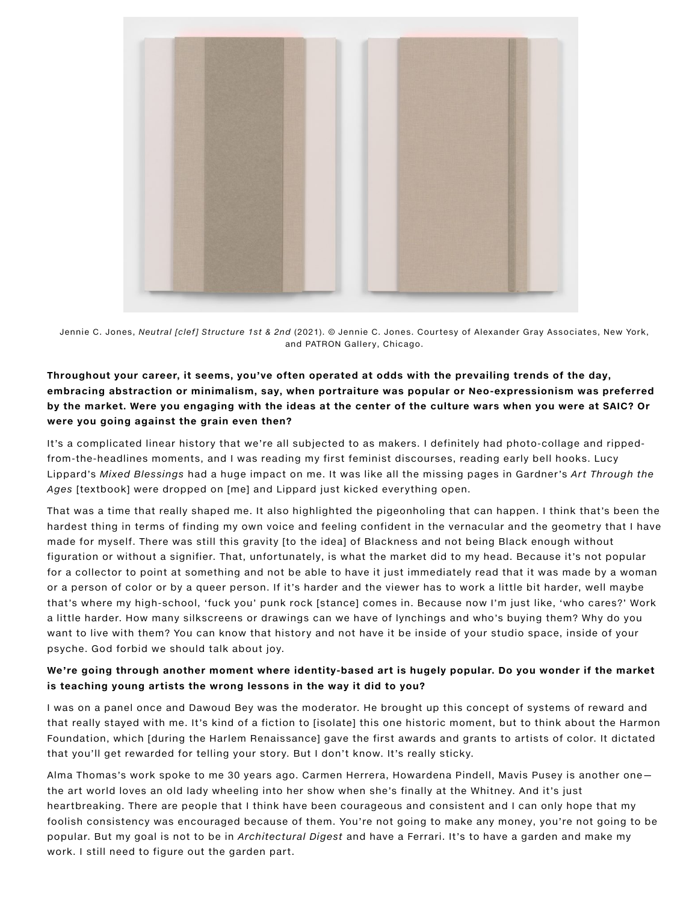

Jennie C. Jones, Neutral [clef] Structure 1st & 2nd (2021). © Jennie C. Jones. Courtesy of Alexander Gray Associates, New York, and PATRON Gallery, Chicago.

# Throughout your career, it seems, you've often operated at odds with the prevailing trends of the day, embracing abstraction or minimalism, say, when portraiture was popular or Neo-expressionism was preferred by the market. Were you engaging with the ideas at the center of the culture wars when you were at SAIC? Or were you going against the grain even then?

It's a complicated linear history that we're all subjected to as makers. I definitely had photo-collage and rippedfrom-the-headlines moments, and I was reading my first feminist discourses, reading early bell hooks. Lucy Lippard's Mixed Blessings had a huge impact on me. It was like all the missing pages in Gardner's Art Through the Ages [textbook] were dropped on [me] and Lippard just kicked everything open.

That was a time that really shaped me. It also highlighted the pigeonholing that can happen. I think that's been the hardest thing in terms of finding my own voice and feeling confident in the vernacular and the geometry that I have made for myself. There was still this gravity [to the idea] of Blackness and not being Black enough without figuration or without a signifier. That, unfortunately, is what the market did to my head. Because it's not popular for a collector to point at something and not be able to have it just immediately read that it was made by a woman or a person of color or by a queer person. If it's harder and the viewer has to work a little bit harder, well maybe that's where my high-school, 'fuck you' punk rock [stance] comes in. Because now I'm just like, 'who cares?' Work a little harder. How many silkscreens or drawings can we have of lynchings and who's buying them? Why do you want to live with them? You can know that history and not have it be inside of your studio space, inside of your psyche. God forbid we should talk about joy.

### We're going through another moment where identity-based art is hugely popular. Do you wonder if the market is teaching young artists the wrong lessons in the way it did to you?

I was on a panel once and Dawoud Bey was the moderator. He brought up this concept of systems of reward and that really stayed with me. It's kind of a fiction to [isolate] this one historic moment, but to think about the Harmon Foundation, which [during the Harlem Renaissance] gave the first awards and grants to artists of color. It dictated that you'll get rewarded for telling your story. But I don't know. It's really sticky.

Alma Thomas's work spoke to me 30 years ago. Carmen Herrera, Howardena Pindell, Mavis Pusey is another one the art world loves an old lady wheeling into her show when she's finally at the Whitney. And it's just heartbreaking. There are people that I think have been courageous and consistent and I can only hope that my foolish consistency was encouraged because of them. You're not going to make any money, you're not going to be popular. But my goal is not to be in Architectural Digest and have a Ferrari. It's to have a garden and make my work. I still need to figure out the garden part.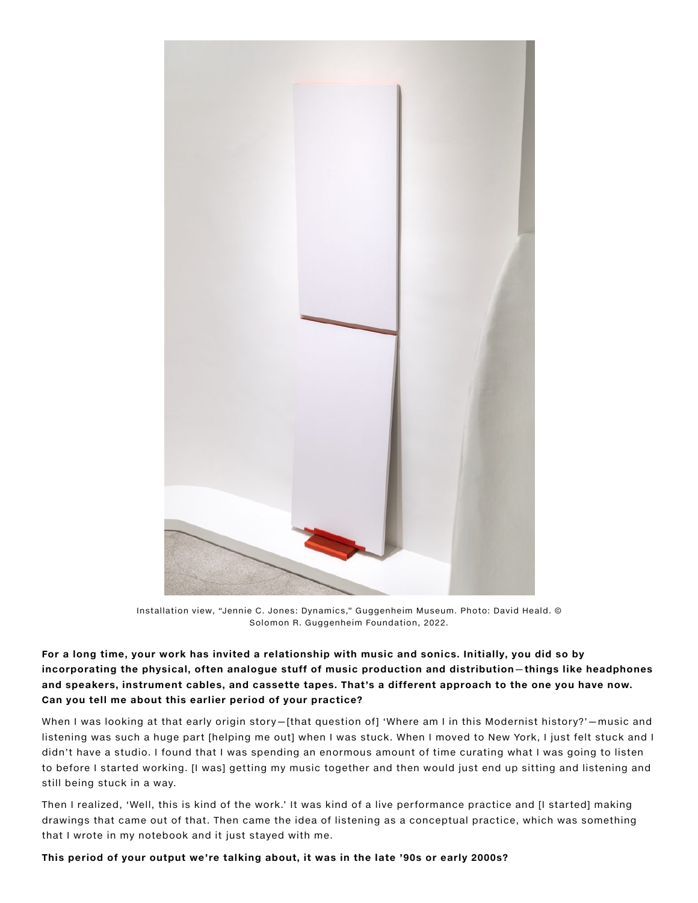

Installation view, "Jennie C. Jones: Dynamics," Guggenheim Museum. Photo: David Heald. © Solomon R. Guggenheim Foundation, 2022.

For a long time, your work has invited a relationship with music and sonics. Initially, you did so by incorporating the physical, often analogue stuff of music production and distribution—things like headphones and speakers, instrument cables, and cassette tapes. That's a different approach to the one you have now. Can you tell me about this earlier period of your practice?

When I was looking at that early origin story–[that question of] 'Where am I in this Modernist history?'–music and listening was such a huge part [helping me out] when I was stuck. When I moved to New York, I just felt stuck and I didn't have a studio. I found that I was spending an enormous amount of time curating what I was going to listen to before I started working. [I was] getting my music together and then would just end up sitting and listening and still being stuck in a way.

Then I realized, 'Well, this is kind of the work.' It was kind of a live performance practice and [I started] making drawings that came out of that. Then came the idea of listening as a conceptual practice, which was something that I wrote in my notebook and it just stayed with me.

This period of your output we're talking about, it was in the late '90s or early 2000s?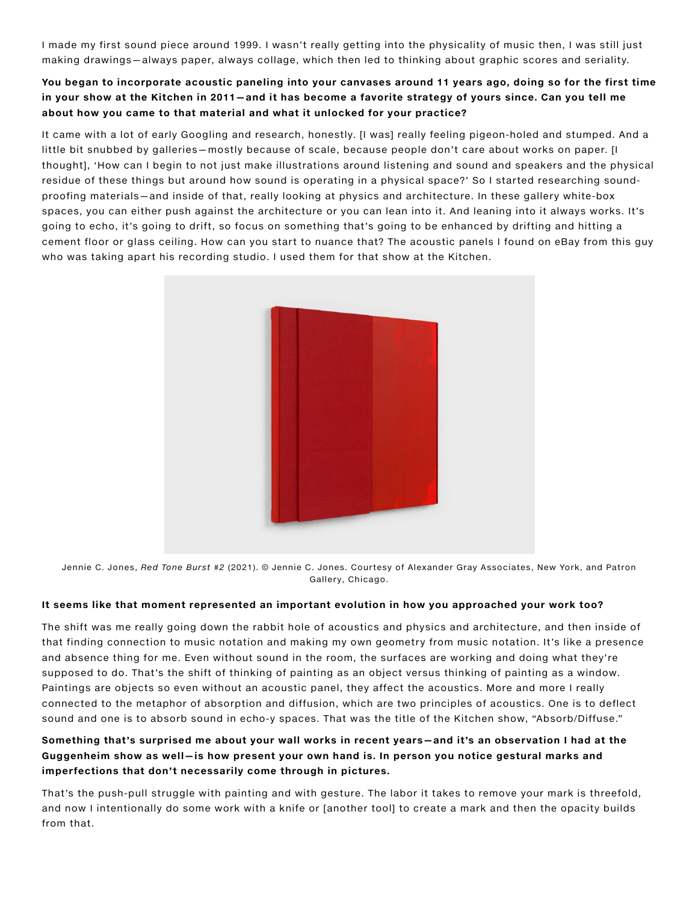I made my first sound piece around 1999. I wasn't really getting into the physicality of music then, I was still just making drawings—always paper, always collage, which then led to thinking about graphic scores and seriality.

# You began to incorporate acoustic paneling into your canvases around 11 years ago, doing so for the first time in your show at the Kitchen in 2011—and it has become a favorite strategy of yours since. Can you tell me about how you came to that material and what it unlocked for your practice?

It came with a lot of early Googling and research, honestly. [I was] really feeling pigeon-holed and stumped. And a little bit snubbed by galleries—mostly because of scale, because people don't care about works on paper. [I thought], 'How can I begin to not just make illustrations around listening and sound and speakers and the physical residue of these things but around how sound is operating in a physical space?' So I started researching soundproofing materials—and inside of that, really looking at physics and architecture. In these gallery white-box spaces, you can either push against the architecture or you can lean into it. And leaning into it always works. It's going to echo, it's going to drift, so focus on something that's going to be enhanced by drifting and hitting a cement floor or glass ceiling. How can you start to nuance that? The acoustic panels I found on eBay from this guy who was taking apart his recording studio. I used them for that show at the Kitchen.



Jennie C. Jones, Red Tone Burst #2 (2021). © Jennie C. Jones. Courtesy of Alexander Gray Associates, New York, and Patron Gallery, Chicago.

#### It seems like that moment represented an important evolution in how you approached your work too?

The shift was me really going down the rabbit hole of acoustics and physics and architecture, and then inside of that finding connection to music notation and making my own geometry from music notation. It's like a presence and absence thing for me. Even without sound in the room, the surfaces are working and doing what they're supposed to do. That's the shift of thinking of painting as an object versus thinking of painting as a window. Paintings are objects so even without an acoustic panel, they affect the acoustics. More and more I really connected to the metaphor of absorption and diffusion, which are two principles of acoustics. One is to deflect sound and one is to absorb sound in echo-y spaces. That was the title of the Kitchen show, "Absorb/Diffuse."

# Something that's surprised me about your wall works in recent years—and it's an observation I had at the Guggenheim show as well—is how present your own hand is. In person you notice gestural marks and imperfections that don't necessarily come through in pictures.

That's the push-pull struggle with painting and with gesture. The labor it takes to remove your mark is threefold, and now I intentionally do some work with a knife or [another tool] to create a mark and then the opacity builds from that.